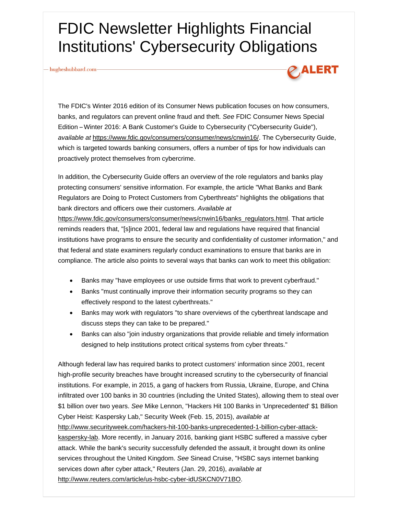## FDIC Newsletter Highlights Financial Institutions' Cybersecurity Obligations

hugheshubbard.com-



The FDIC's Winter 2016 edition of its Consumer News publication focuses on how consumers, banks, and regulators can prevent online fraud and theft. *See* FDIC Consumer News Special Edition -- Winter 2016: A Bank Customer's Guide to Cybersecurity ("Cybersecurity Guide"), *available at* https://www.fdic.gov/consumers/consumer/news/cnwin16/. The Cybersecurity Guide, which is targeted towards banking consumers, offers a number of tips for how individuals can proactively protect themselves from cybercrime.

In addition, the Cybersecurity Guide offers an overview of the role regulators and banks play protecting consumers' sensitive information. For example, the article "What Banks and Bank Regulators are Doing to Protect Customers from Cyberthreats" highlights the obligations that bank directors and officers owe their customers. *Available at*

https://www.fdic.gov/consumers/consumer/news/cnwin16/banks\_regulators.html. That article reminds readers that, "[s]ince 2001, federal law and regulations have required that financial institutions have programs to ensure the security and confidentiality of customer information," and that federal and state examiners regularly conduct examinations to ensure that banks are in compliance. The article also points to several ways that banks can work to meet this obligation:

- Banks may "have employees or use outside firms that work to prevent cyberfraud."
- Banks "must continually improve their information security programs so they can effectively respond to the latest cyberthreats."
- Banks may work with regulators "to share overviews of the cyberthreat landscape and discuss steps they can take to be prepared."
- Banks can also "join industry organizations that provide reliable and timely information designed to help institutions protect critical systems from cyber threats."

Although federal law has required banks to protect customers' information since 2001, recent high-profile security breaches have brought increased scrutiny to the cybersecurity of financial institutions. For example, in 2015, a gang of hackers from Russia, Ukraine, Europe, and China infiltrated over 100 banks in 30 countries (including the United States), allowing them to steal over \$1 billion over two years. *See* Mike Lennon, "Hackers Hit 100 Banks in 'Unprecedented' \$1 Billion Cyber Heist: Kaspersky Lab," Security Week (Feb. 15, 2015), *available at*

http://www.securityweek.com/hackers-hit-100-banks-unprecedented-1-billion-cyber-attackkaspersky-lab. More recently, in January 2016, banking giant HSBC suffered a massive cyber attack. While the bank's security successfully defended the assault, it brought down its online services throughout the United Kingdom. *See* Sinead Cruise, "HSBC says internet banking services down after cyber attack," Reuters (Jan. 29, 2016), *available at* http://www.reuters.com/article/us-hsbc-cyber-idUSKCN0V71BO.